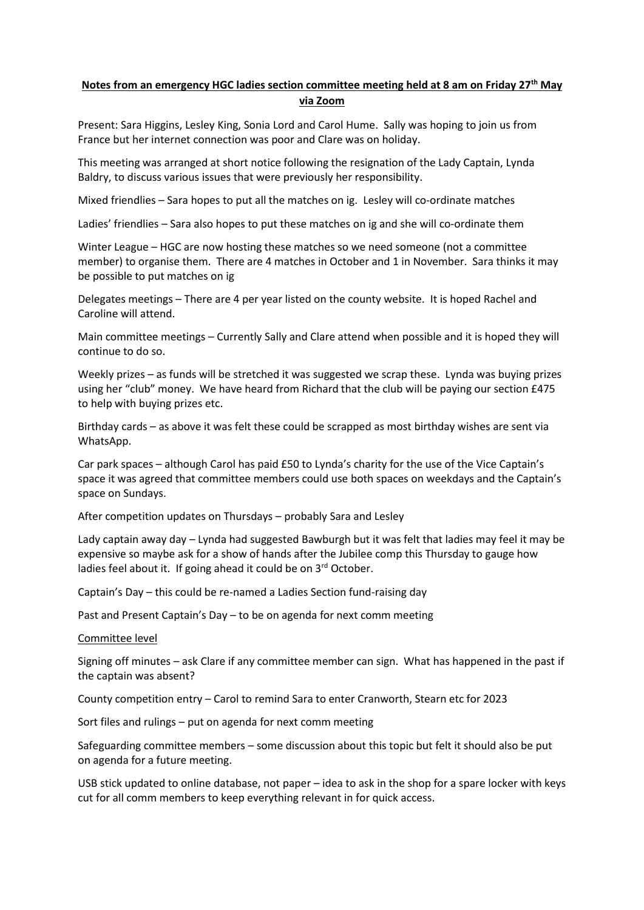## **Notes from an emergency HGC ladies section committee meeting held at 8 am on Friday 27th May via Zoom**

Present: Sara Higgins, Lesley King, Sonia Lord and Carol Hume. Sally was hoping to join us from France but her internet connection was poor and Clare was on holiday.

This meeting was arranged at short notice following the resignation of the Lady Captain, Lynda Baldry, to discuss various issues that were previously her responsibility.

Mixed friendlies – Sara hopes to put all the matches on ig. Lesley will co-ordinate matches

Ladies' friendlies – Sara also hopes to put these matches on ig and she will co-ordinate them

Winter League – HGC are now hosting these matches so we need someone (not a committee member) to organise them. There are 4 matches in October and 1 in November. Sara thinks it may be possible to put matches on ig

Delegates meetings – There are 4 per year listed on the county website. It is hoped Rachel and Caroline will attend.

Main committee meetings – Currently Sally and Clare attend when possible and it is hoped they will continue to do so.

Weekly prizes – as funds will be stretched it was suggested we scrap these. Lynda was buying prizes using her "club" money. We have heard from Richard that the club will be paying our section £475 to help with buying prizes etc.

Birthday cards – as above it was felt these could be scrapped as most birthday wishes are sent via WhatsApp.

Car park spaces – although Carol has paid £50 to Lynda's charity for the use of the Vice Captain's space it was agreed that committee members could use both spaces on weekdays and the Captain's space on Sundays.

After competition updates on Thursdays – probably Sara and Lesley

Lady captain away day – Lynda had suggested Bawburgh but it was felt that ladies may feel it may be expensive so maybe ask for a show of hands after the Jubilee comp this Thursday to gauge how ladies feel about it. If going ahead it could be on 3rd October.

Captain's Day – this could be re-named a Ladies Section fund-raising day

Past and Present Captain's Day – to be on agenda for next comm meeting

Committee level

Signing off minutes – ask Clare if any committee member can sign. What has happened in the past if the captain was absent?

County competition entry – Carol to remind Sara to enter Cranworth, Stearn etc for 2023

Sort files and rulings – put on agenda for next comm meeting

Safeguarding committee members – some discussion about this topic but felt it should also be put on agenda for a future meeting.

USB stick updated to online database, not paper – idea to ask in the shop for a spare locker with keys cut for all comm members to keep everything relevant in for quick access.